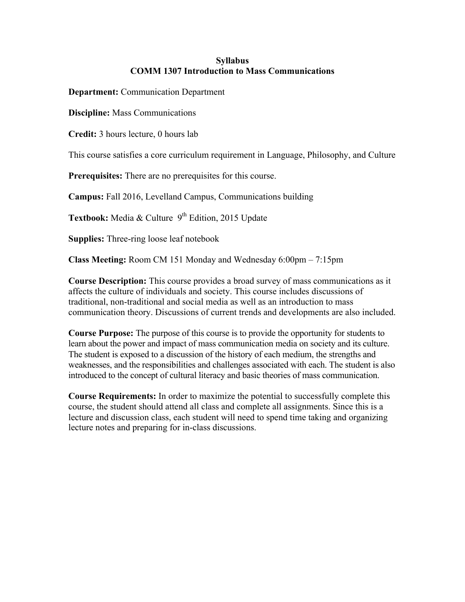## **Syllabus COMM 1307 Introduction to Mass Communications**

**Department:** Communication Department

**Discipline:** Mass Communications

**Credit:** 3 hours lecture, 0 hours lab

This course satisfies a core curriculum requirement in Language, Philosophy, and Culture

**Prerequisites:** There are no prerequisites for this course.

**Campus:** Fall 2016, Levelland Campus, Communications building

**Textbook:** Media & Culture 9<sup>th</sup> Edition, 2015 Update

**Supplies:** Three-ring loose leaf notebook

**Class Meeting:** Room CM 151 Monday and Wednesday 6:00pm – 7:15pm

**Course Description:** This course provides a broad survey of mass communications as it affects the culture of individuals and society. This course includes discussions of traditional, non-traditional and social media as well as an introduction to mass communication theory. Discussions of current trends and developments are also included.

**Course Purpose:** The purpose of this course is to provide the opportunity for students to learn about the power and impact of mass communication media on society and its culture. The student is exposed to a discussion of the history of each medium, the strengths and weaknesses, and the responsibilities and challenges associated with each. The student is also introduced to the concept of cultural literacy and basic theories of mass communication.

**Course Requirements:** In order to maximize the potential to successfully complete this course, the student should attend all class and complete all assignments. Since this is a lecture and discussion class, each student will need to spend time taking and organizing lecture notes and preparing for in-class discussions.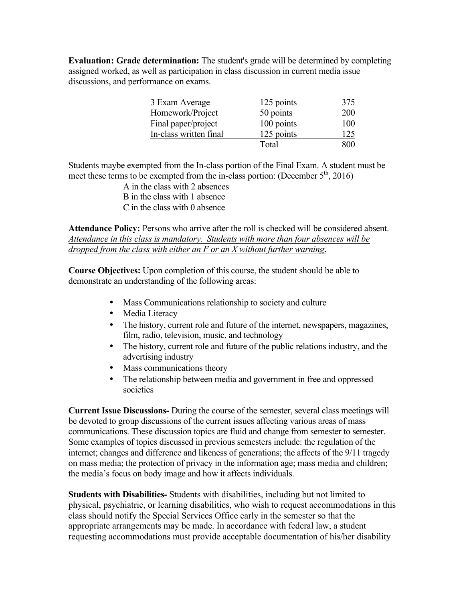**Evaluation: Grade determination:** The student's grade will be determined by completing assigned worked, as well as participation in class discussion in current media issue discussions, and performance on exams.

| 3 Exam Average         | 125 points | 375 |
|------------------------|------------|-----|
| Homework/Project       | 50 points  | 200 |
| Final paper/project    | 100 points | 100 |
| In-class written final | 125 points | 125 |
|                        | Total      | 800 |

Students maybe exempted from the In-class portion of the Final Exam. A student must be meet these terms to be exempted from the in-class portion: (December  $5<sup>th</sup>$ , 2016)

A in the class with 2 absences B in the class with 1 absence C in the class with 0 absence

**Attendance Policy:** Persons who arrive after the roll is checked will be considered absent. *Attendance in this class is mandatory. Students with more than four absences will be dropped from the class with either an F or an X without further warning*.

**Course Objectives:** Upon completion of this course, the student should be able to demonstrate an understanding of the following areas:

- Mass Communications relationship to society and culture
- Media Literacy
- The history, current role and future of the internet, newspapers, magazines, film, radio, television, music, and technology
- The history, current role and future of the public relations industry, and the advertising industry
- Mass communications theory
- The relationship between media and government in free and oppressed societies

**Current Issue Discussions-** During the course of the semester, several class meetings will be devoted to group discussions of the current issues affecting various areas of mass communications. These discussion topics are fluid and change from semester to semester. Some examples of topics discussed in previous semesters include: the regulation of the internet; changes and difference and likeness of generations; the affects of the 9/11 tragedy on mass media; the protection of privacy in the information age; mass media and children; the media's focus on body image and how it affects individuals.

**Students with Disabilities-** Students with disabilities, including but not limited to physical, psychiatric, or learning disabilities, who wish to request accommodations in this class should notify the Special Services Office early in the semester so that the appropriate arrangements may be made. In accordance with federal law, a student requesting accommodations must provide acceptable documentation of his/her disability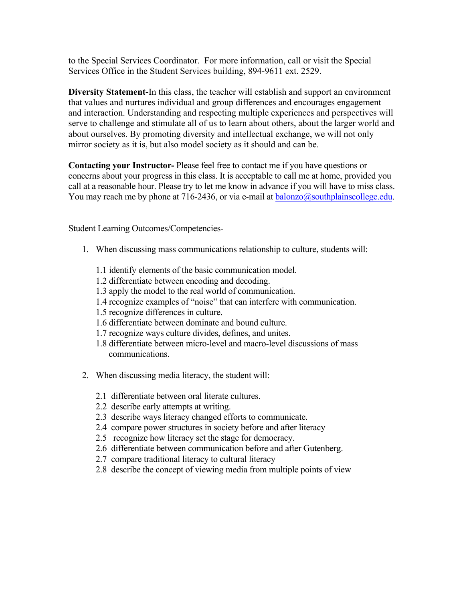to the Special Services Coordinator. For more information, call or visit the Special Services Office in the Student Services building, 894-9611 ext. 2529.

**Diversity Statement-**In this class, the teacher will establish and support an environment that values and nurtures individual and group differences and encourages engagement and interaction. Understanding and respecting multiple experiences and perspectives will serve to challenge and stimulate all of us to learn about others, about the larger world and about ourselves. By promoting diversity and intellectual exchange, we will not only mirror society as it is, but also model society as it should and can be.

**Contacting your Instructor-** Please feel free to contact me if you have questions or concerns about your progress in this class. It is acceptable to call me at home, provided you call at a reasonable hour. Please try to let me know in advance if you will have to miss class. You may reach me by phone at 716-2436, or via e-mail at  $balonzo@southplainscollege.edu$ .

Student Learning Outcomes/Competencies-

- 1. When discussing mass communications relationship to culture, students will:
	- 1.1 identify elements of the basic communication model.
	- 1.2 differentiate between encoding and decoding.
	- 1.3 apply the model to the real world of communication.
	- 1.4 recognize examples of "noise" that can interfere with communication.
	- 1.5 recognize differences in culture.
	- 1.6 differentiate between dominate and bound culture.
	- 1.7 recognize ways culture divides, defines, and unites.
	- 1.8 differentiate between micro-level and macro-level discussions of mass communications.
- 2. When discussing media literacy, the student will:
	- 2.1 differentiate between oral literate cultures.
	- 2.2 describe early attempts at writing.
	- 2.3 describe ways literacy changed efforts to communicate.
	- 2.4 compare power structures in society before and after literacy
	- 2.5 recognize how literacy set the stage for democracy.
	- 2.6 differentiate between communication before and after Gutenberg.
	- 2.7 compare traditional literacy to cultural literacy
	- 2.8 describe the concept of viewing media from multiple points of view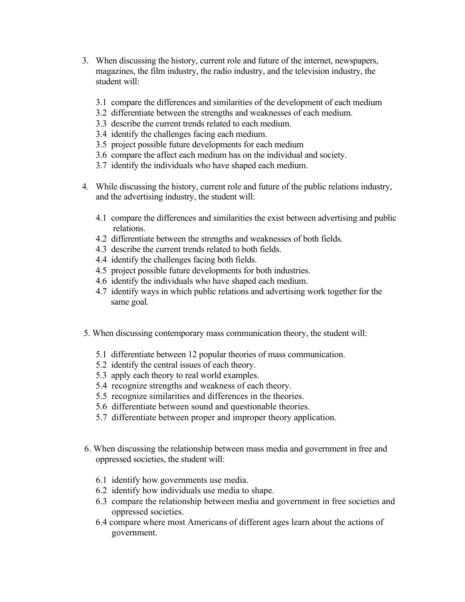- 3. When discussing the history, current role and future of the internet, newspapers, magazines, the film industry, the radio industry, and the television industry, the student will:
	- 3.1 compare the differences and similarities of the development of each medium
	- 3.2 differentiate between the strengths and weaknesses of each medium.
	- 3.3 describe the current trends related to each medium.
	- 3.4 identify the challenges facing each medium.
	- 3.5 project possible future developments for each medium
	- 3.6 compare the affect each medium has on the individual and society.
	- 3.7 identify the individuals who have shaped each medium.
- 4. While discussing the history, current role and future of the public relations industry, and the advertising industry, the student will:
	- 4.1 compare the differences and similarities the exist between advertising and public relations.
	- 4.2 differentiate between the strengths and weaknesses of both fields.
	- 4.3 describe the current trends related to both fields.
	- 4.4 identify the challenges facing both fields.
	- 4.5 project possible future developments for both industries.
	- 4.6 identify the individuals who have shaped each medium.
	- 4.7 identify ways in which public relations and advertising work together for the same goal.
- 5. When discussing contemporary mass communication theory, the student will:
	- 5.1 differentiate between 12 popular theories of mass communication.
	- 5.2 identify the central issues of each theory.
	- 5.3 apply each theory to real world examples.
	- 5.4 recognize strengths and weakness of each theory.
	- 5.5 recognize similarities and differences in the theories.
	- 5.6 differentiate between sound and questionable theories.
	- 5.7 differentiate between proper and improper theory application.
- 6. When discussing the relationship between mass media and government in free and oppressed societies, the student will:
	- 6.1 identify how governments use media.
	- 6.2 identify how individuals use media to shape.
	- 6.3 compare the relationship between media and government in free societies and oppressed societies.
	- 6.4 compare where most Americans of different ages learn about the actions of government.